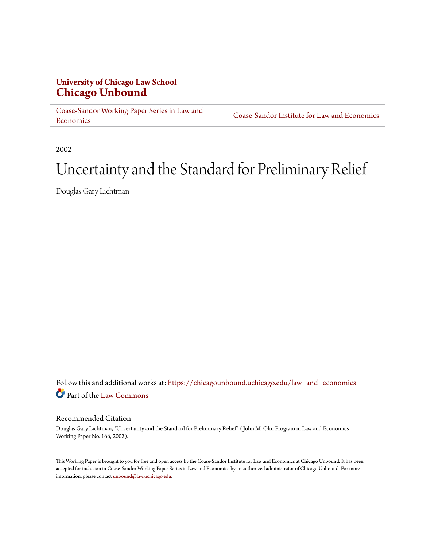# **University of Chicago Law School [Chicago Unbound](https://chicagounbound.uchicago.edu?utm_source=chicagounbound.uchicago.edu%2Flaw_and_economics%2F604&utm_medium=PDF&utm_campaign=PDFCoverPages)**

[Coase-Sandor Working Paper Series in Law and](https://chicagounbound.uchicago.edu/law_and_economics?utm_source=chicagounbound.uchicago.edu%2Flaw_and_economics%2F604&utm_medium=PDF&utm_campaign=PDFCoverPages) [Economics](https://chicagounbound.uchicago.edu/law_and_economics?utm_source=chicagounbound.uchicago.edu%2Flaw_and_economics%2F604&utm_medium=PDF&utm_campaign=PDFCoverPages)

[Coase-Sandor Institute for Law and Economics](https://chicagounbound.uchicago.edu/coase_sandor_institute?utm_source=chicagounbound.uchicago.edu%2Flaw_and_economics%2F604&utm_medium=PDF&utm_campaign=PDFCoverPages)

2002

# Uncertainty and the Standard for Preliminary Relief

Douglas Gary Lichtman

Follow this and additional works at: [https://chicagounbound.uchicago.edu/law\\_and\\_economics](https://chicagounbound.uchicago.edu/law_and_economics?utm_source=chicagounbound.uchicago.edu%2Flaw_and_economics%2F604&utm_medium=PDF&utm_campaign=PDFCoverPages) Part of the [Law Commons](http://network.bepress.com/hgg/discipline/578?utm_source=chicagounbound.uchicago.edu%2Flaw_and_economics%2F604&utm_medium=PDF&utm_campaign=PDFCoverPages)

#### Recommended Citation

Douglas Gary Lichtman, "Uncertainty and the Standard for Preliminary Relief" ( John M. Olin Program in Law and Economics Working Paper No. 166, 2002).

This Working Paper is brought to you for free and open access by the Coase-Sandor Institute for Law and Economics at Chicago Unbound. It has been accepted for inclusion in Coase-Sandor Working Paper Series in Law and Economics by an authorized administrator of Chicago Unbound. For more information, please contact [unbound@law.uchicago.edu.](mailto:unbound@law.uchicago.edu)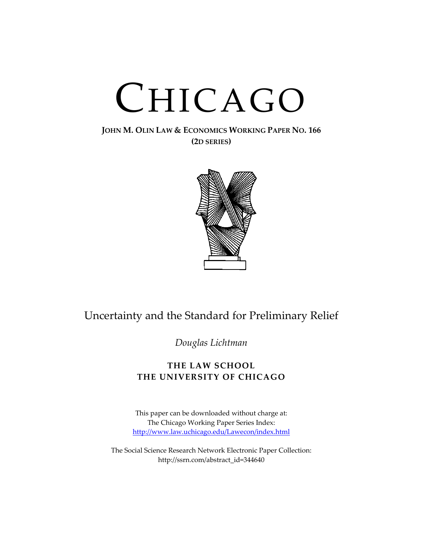# CHICAGO

### **JOHN M. OLIN LAW & ECONOMICS WORKING PAPER NO. 166 (2D SERIES)**



# Uncertainty and the Standard for Preliminary Relief

*Douglas Lichtman*

# **THE LAW SCHOOL THE UNIVERSITY OF CHICAGO**

This paper can be downloaded without charge at: The Chicago Working Paper Series Index: [http://www.law.uchicago.edu/Lawecon/index.html](http://www.law.uchicago.edu/Publications/Working/index.html)

The Social Science Research Network Electronic Paper Collection: [http://ssrn.com/abstract\\_id=344640](http://papers.ssrn.com/sol3/search.taf)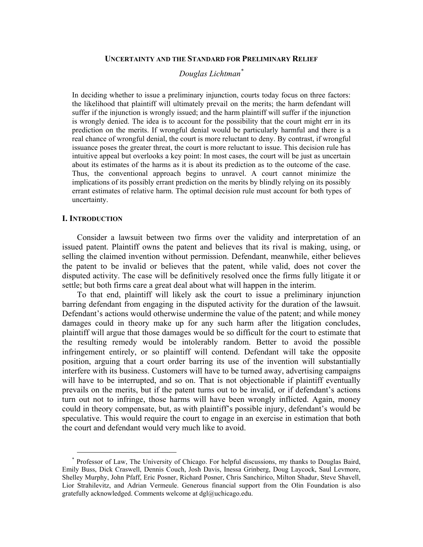#### **UNCERTAINTY AND THE STANDARD FOR PRELIMINARY RELIEF**

#### *Douglas Lichtman[\\*](#page-3-0)*

In deciding whether to issue a preliminary injunction, courts today focus on three factors: the likelihood that plaintiff will ultimately prevail on the merits; the harm defendant will suffer if the injunction is wrongly issued; and the harm plaintiff will suffer if the injunction is wrongly denied. The idea is to account for the possibility that the court might err in its prediction on the merits. If wrongful denial would be particularly harmful and there is a real chance of wrongful denial, the court is more reluctant to deny. By contrast, if wrongful issuance poses the greater threat, the court is more reluctant to issue. This decision rule has intuitive appeal but overlooks a key point: In most cases, the court will be just as uncertain about its estimates of the harms as it is about its prediction as to the outcome of the case. Thus, the conventional approach begins to unravel. A court cannot minimize the implications of its possibly errant prediction on the merits by blindly relying on its possibly errant estimates of relative harm. The optimal decision rule must account for both types of uncertainty.

#### **I. INTRODUCTION**

<span id="page-3-0"></span> $\overline{a}$ 

Consider a lawsuit between two firms over the validity and interpretation of an issued patent. Plaintiff owns the patent and believes that its rival is making, using, or selling the claimed invention without permission. Defendant, meanwhile, either believes the patent to be invalid or believes that the patent, while valid, does not cover the disputed activity. The case will be definitively resolved once the firms fully litigate it or settle; but both firms care a great deal about what will happen in the interim.

To that end, plaintiff will likely ask the court to issue a preliminary injunction barring defendant from engaging in the disputed activity for the duration of the lawsuit. Defendant's actions would otherwise undermine the value of the patent; and while money damages could in theory make up for any such harm after the litigation concludes, plaintiff will argue that those damages would be so difficult for the court to estimate that the resulting remedy would be intolerably random. Better to avoid the possible infringement entirely, or so plaintiff will contend. Defendant will take the opposite position, arguing that a court order barring its use of the invention will substantially interfere with its business. Customers will have to be turned away, advertising campaigns will have to be interrupted, and so on. That is not objectionable if plaintiff eventually prevails on the merits, but if the patent turns out to be invalid, or if defendant's actions turn out not to infringe, those harms will have been wrongly inflicted. Again, money could in theory compensate, but, as with plaintiff's possible injury, defendant's would be speculative. This would require the court to engage in an exercise in estimation that both the court and defendant would very much like to avoid.

Professor of Law, The University of Chicago. For helpful discussions, my thanks to Douglas Baird, Emily Buss, Dick Craswell, Dennis Couch, Josh Davis, Inessa Grinberg, Doug Laycock, Saul Levmore, Shelley Murphy, John Pfaff, Eric Posner, Richard Posner, Chris Sanchirico, Milton Shadur, Steve Shavell, Lior Strahilevitz, and Adrian Vermeule. Generous financial support from the Olin Foundation is also gratefully acknowledged. Comments welcome at dgl@uchicago.edu.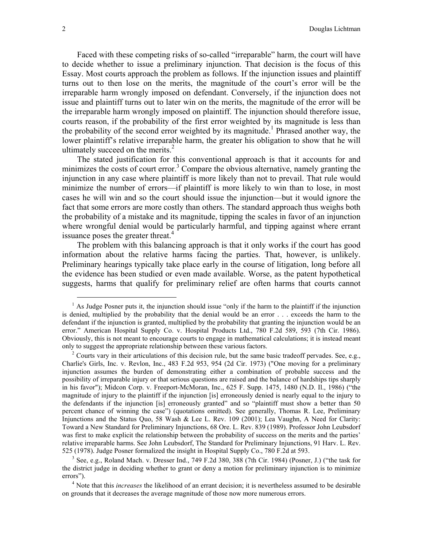Faced with these competing risks of so-called "irreparable" harm, the court will have to decide whether to issue a preliminary injunction. That decision is the focus of this Essay. Most courts approach the problem as follows. If the injunction issues and plaintiff turns out to then lose on the merits, the magnitude of the court's error will be the irreparable harm wrongly imposed on defendant. Conversely, if the injunction does not issue and plaintiff turns out to later win on the merits, the magnitude of the error will be the irreparable harm wrongly imposed on plaintiff. The injunction should therefore issue, courts reason, if the probability of the first error weighted by its magnitude is less than the probability of the second error weighted by its magnitude.<sup>1</sup> Phrased another way, the lower plaintiff's relative irreparable harm, the greater his obligation to show that he will ultimately succeed on the merits. $<sup>2</sup>$ </sup>

The stated justification for this conventional approach is that it accounts for and minimizes the costs of court error.<sup>[3](#page-4-2)</sup> Compare the obvious alternative, namely granting the injunction in any case where plaintiff is more likely than not to prevail. That rule would minimize the number of errors—if plaintiff is more likely to win than to lose, in most cases he will win and so the court should issue the injunction—but it would ignore the fact that some errors are more costly than others. The standard approach thus weighs both the probability of a mistake and its magnitude, tipping the scales in favor of an injunction where wrongful denial would be particularly harmful, and tipping against where errant issuance poses the greater threat.<sup>[4](#page-4-3)</sup>

The problem with this balancing approach is that it only works if the court has good information about the relative harms facing the parties. That, however, is unlikely. Preliminary hearings typically take place early in the course of litigation, long before all the evidence has been studied or even made available. Worse, as the patent hypothetical suggests, harms that qualify for preliminary relief are often harms that courts cannot

<span id="page-4-2"></span>the district judge in deciding whether to grant or deny a motion for preliminary injunction is to minimize errors").

<span id="page-4-3"></span><sup>4</sup> Note that this *increases* the likelihood of an errant decision; it is nevertheless assumed to be desirable on grounds that it decreases the average magnitude of those now more numerous errors.

<span id="page-4-0"></span><sup>&</sup>lt;sup>1</sup> As Judge Posner puts it, the injunction should issue "only if the harm to the plaintiff if the injunction is denied, multiplied by the probability that the denial would be an error . . . exceeds the harm to the defendant if the injunction is granted, multiplied by the probability that granting the injunction would be an error." American Hospital Supply Co. v. Hospital Products Ltd., 780 F.2d 589, 593 (7th Cir. 1986). Obviously, this is not meant to encourage courts to engage in mathematical calculations; it is instead meant only to suggest the appropriate relationship between these various factors. 2

<span id="page-4-1"></span><sup>&</sup>lt;sup>2</sup> Courts vary in their articulations of this decision rule, but the same basic tradeoff pervades. See, e.g., Charlie's Girls, Inc. v. Revlon, Inc., 483 F.2d 953, 954 (2d Cir. 1973) ("One moving for a preliminary injunction assumes the burden of demonstrating either a combination of probable success and the possibility of irreparable injury or that serious questions are raised and the balance of hardships tips sharply in his favor"); Midcon Corp. v. Freeport-McMoran, Inc., 625 F. Supp. 1475, 1480 (N.D. Il., 1986) ("the magnitude of injury to the plaintiff if the injunction [is] erroneously denied is nearly equal to the injury to the defendants if the injunction [is] erroneously granted" and so "plaintiff must show a better than 50 percent chance of winning the case") (quotations omitted). See generally, Thomas R. Lee, Preliminary Injunctions and the Status Quo, 58 Wash & Lee L. Rev. 109 (2001); Lea Vaughn, A Need for Clarity: Toward a New Standard for Preliminary Injunctions, 68 Ore. L. Rev. 839 (1989). Professor John Leubsdorf was first to make explicit the relationship between the probability of success on the merits and the parties' relative irreparable harms. See John Leubsdorf, The Standard for Preliminary Injunctions, 91 Harv. L. Rev. 525 (1978). Judge Posner formalized the insight in Hospital Supply Co., 780 F.2d at 593.<br><sup>3</sup> See, e.g., Roland Mach. v. Dresser Ind., 749 F.2d 380, 388 (7th Cir. 1984) (Posner, J.) ("the task for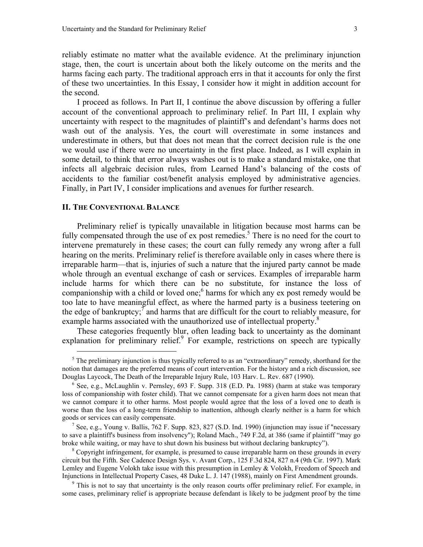<span id="page-5-4"></span>reliably estimate no matter what the available evidence. At the preliminary injunction stage, then, the court is uncertain about both the likely outcome on the merits and the harms facing each party. The traditional approach errs in that it accounts for only the first of these two uncertainties. In this Essay, I consider how it might in addition account for the second.

I proceed as follows. In Part II, I continue the above discussion by offering a fuller account of the conventional approach to preliminary relief. In Part III, I explain why uncertainty with respect to the magnitudes of plaintiff's and defendant's harms does not wash out of the analysis. Yes, the court will overestimate in some instances and underestimate in others, but that does not mean that the correct decision rule is the one we would use if there were no uncertainty in the first place. Indeed, as I will explain in some detail, to think that error always washes out is to make a standard mistake, one that infects all algebraic decision rules, from Learned Hand's balancing of the costs of accidents to the familiar cost/benefit analysis employed by administrative agencies. Finally, in Part IV, I consider implications and avenues for further research.

#### **II. THE CONVENTIONAL BALANCE**

<span id="page-5-0"></span> $\overline{a}$ 

Preliminary relief is typically unavailable in litigation because most harms can be fully compensated through the use of ex post remedies.<sup>[5](#page-5-0)</sup> There is no need for the court to intervene prematurely in these cases; the court can fully remedy any wrong after a full hearing on the merits. Preliminary relief is therefore available only in cases where there is irreparable harm—that is, injuries of such a nature that the injured party cannot be made whole through an eventual exchange of cash or services. Examples of irreparable harm include harms for which there can be no substitute, for instance the loss of companionship with a child or loved one; $<sup>6</sup>$  [h](#page-5-1)arms for which any ex post remedy would be</sup> too late to have meaningful effect, as where the harmed party is a business teetering on the edge of bankruptcy;  $\bar{7}$  $\bar{7}$  $\bar{7}$  and harms that are difficult for the court to reliably measure, for example harms associated with the unauthorized use of intellectual property.<sup>8</sup>

These categories frequently blur, often leading back to uncertainty as the dominant explanation for preliminary relief.<sup>[9](#page-5-4)</sup> For example, restrictions on speech are typically

 $<sup>5</sup>$  The preliminary injunction is thus typically referred to as an "extraordinary" remedy, shorthand for the</sup> notion that damages are the preferred means of court intervention. For the history and a rich discussion, see Douglas Laycock, The Death of the Irreparable Injury Rule, 103 Harv. L. Rev. 687 (1990).

<span id="page-5-1"></span> $6$  See, e.g., McLaughlin v. Pernsley, 693 F. Supp. 318 (E.D. Pa. 1988) (harm at stake was temporary loss of companionship with foster child). That we cannot compensate for a given harm does not mean that we cannot compare it to other harms. Most people would agree that the loss of a loved one to death is worse than the loss of a long-term friendship to inattention, although clearly neither is a harm for which goods or services can easily compensate. 7

<span id="page-5-2"></span><sup>&</sup>lt;sup>7</sup> See, e.g., Young v. Ballis, 762 F. Supp. 823, 827 (S.D. Ind. 1990) (injunction may issue if "necessary" to save a plaintiff's business from insolvency"); Roland Mach., 749 F.2d, at 386 (same if plaintiff "may go broke while waiting, or may have to shut down his business but without declaring bankruptcy"). 8

<span id="page-5-3"></span> $\delta$  Copyright infringement, for example, is presumed to cause irreparable harm on these grounds in every circuit but the Fifth. See Cadence Design Sys. v. Avant Corp., 125 F.3d 824, 827 n.4 (9th Cir. 1997). Mark Lemley and Eugene Volokh take issue with this presumption in Lemley & Volokh, Freedom of Speech and Injunctions in Intellectual Property Cases, 48 Duke L. J. 147 (1988), mainly on First Amendment grounds. 9

<sup>&</sup>lt;sup>9</sup> This is not to say that uncertainty is the only reason courts offer preliminary relief. For example, in some cases, preliminary relief is appropriate because defendant is likely to be judgment proof by the time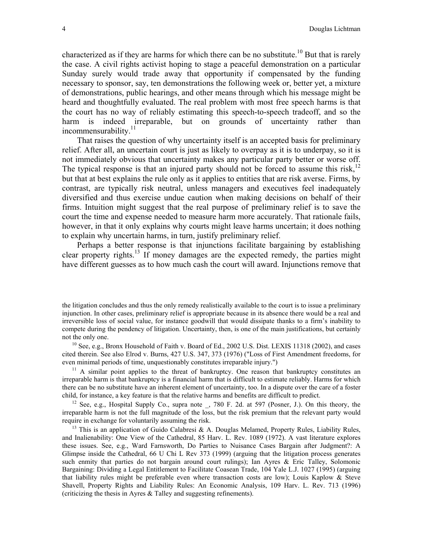characterized as if they are harms for which there can be no substitute.<sup>10</sup> But that is rarely the case. A civil rights activist hoping to stage a peaceful demonstration on a particular Sunday surely would trade away that opportunity if compensated by the funding necessary to sponsor, say, ten demonstrations the following week or, better yet, a mixture of demonstrations, public hearings, and other means through which his message might be heard and thoughtfully evaluated. The real problem with most free speech harms is that the court has no way of reliably estimating this speech-to-speech tradeoff, and so the harm is indeed irreparable, but on grounds of uncertainty rather than incommensurability. $11$ 

That raises the question of why uncertainty itself is an accepted basis for preliminary relief. After all, an uncertain court is just as likely to overpay as it is to underpay, so it is not immediately obvious that uncertainty makes any particular party better or worse off. The typical response is that an injured party should not be forced to assume this risk, $12$ but that at best explains the rule only as it applies to entities that are risk averse. Firms, by contrast, are typically risk neutral, unless managers and executives feel inadequately diversified and thus exercise undue caution when making decisions on behalf of their firms. Intuition might suggest that the real purpose of preliminary relief is to save the court the time and expense needed to measure harm more accurately. That rationale fails, however, in that it only explains why courts might leave harms uncertain; it does nothing to explain why uncertain harms, in turn, justify preliminary relief.

Perhaps a better response is that injunctions facilitate bargaining by establishing clear property rights.[13](#page-6-3) If money damages are the expected remedy, the parties might have different guesses as to how much cash the court will award. Injunctions remove that

<span id="page-6-0"></span>cited therein. See also Elrod v. Burns, 427 U.S. 347, 373 (1976) ("Loss of First Amendment freedoms, for even minimal periods of time, unquestionably constitutes irreparable injury.")<br><sup>11</sup> A similar point applies to the threat of bankruptcy. One reason that bankruptcy constitutes an

<span id="page-6-1"></span>irreparable harm is that bankruptcy is a financial harm that is difficult to estimate reliably. Harms for which there can be no substitute have an inherent element of uncertainty, too. In a dispute over the care of a foster child, for instance, a key feature is that the relative harms and benefits are difficult to predict.

<span id="page-6-2"></span><sup>12</sup> See, e.g., Hospital Supply Co., supra note \_, 780 F. 2d. at 597 (Posner, J.). On this theory, the irreparable harm is not the full magnitude of the loss, but the risk premium that the relevant party would require in exchange for voluntarily assuming the risk.

<span id="page-6-3"></span><sup>13</sup> This is an application of Guido Calabresi & A. Douglas Melamed, Property Rules, Liability Rules, and Inalienability: One View of the Cathedral, 85 Harv. L. Rev. 1089 (1972). A vast literature explores these issues. See, e.g., Ward Farnsworth, Do Parties to Nuisance Cases Bargain after Judgment?: A Glimpse inside the Cathedral, 66 U Chi L Rev 373 (1999) (arguing that the litigation process generates such enmity that parties do not bargain around court rulings); Ian Ayres & Eric Talley, Solomonic Bargaining: Dividing a Legal Entitlement to Facilitate Coasean Trade, 104 Yale L.J. 1027 (1995) (arguing that liability rules might be preferable even where transaction costs are low); Louis Kaplow & Steve Shavell, Property Rights and Liability Rules: An Economic Analysis, 109 Harv. L. Rev. 713 (1996) (criticizing the thesis in Ayres & Talley and suggesting refinements).

the litigation concludes and thus the only remedy realistically available to the court is to issue a preliminary injunction. In other cases, preliminary relief is appropriate because in its absence there would be a real and irreversible loss of social value, for instance goodwill that would dissipate thanks to a firm's inability to compete during the pendency of litigation. Uncertainty, then, is one of the main justifications, but certainly not the only one.<br><sup>10</sup> See, e.g., Bronx Household of Faith v. Board of Ed., 2002 U.S. Dist. LEXIS 11318 (2002), and cases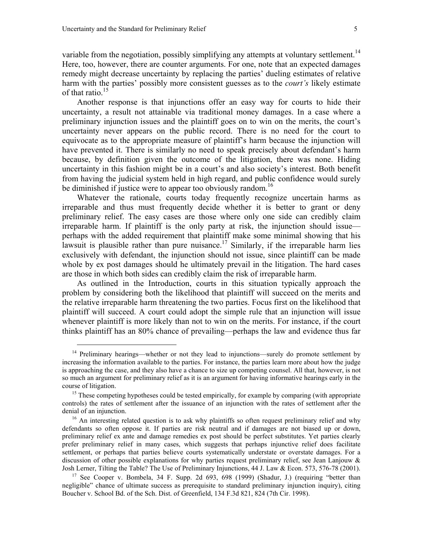<span id="page-7-0"></span> $\overline{a}$ 

variable from the negotiation, possibly simplifying any attempts at voluntary settlement.<sup>14</sup> Here, too, however, there are counter arguments. For one, note that an expected damages remedy might decrease uncertainty by replacing the parties' dueling estimates of relative harm with the parties' possibly more consistent guesses as to the *court's* likely estimate of that ratio.<sup>[15](#page-7-1)</sup>

Another response is that injunctions offer an easy way for courts to hide their uncertainty, a result not attainable via traditional money damages. In a case where a preliminary injunction issues and the plaintiff goes on to win on the merits, the court's uncertainty never appears on the public record. There is no need for the court to equivocate as to the appropriate measure of plaintiff's harm because the injunction will have prevented it. There is similarly no need to speak precisely about defendant's harm because, by definition given the outcome of the litigation, there was none. Hiding uncertainty in this fashion might be in a court's and also society's interest. Both benefit from having the judicial system held in high regard, and public confidence would surely be diminished if justice were to appear too obviously random.<sup>[16](#page-7-2)</sup>

Whatever the rationale, courts today frequently recognize uncertain harms as irreparable and thus must frequently decide whether it is better to grant or deny preliminary relief. The easy cases are those where only one side can credibly claim irreparable harm. If plaintiff is the only party at risk, the injunction should issue perhaps with the added requirement that plaintiff make some minimal showing that his lawsuit is plausible rather than pure nuisance.<sup>17</sup> Similarly, if the irreparable harm lies exclusively with defendant, the injunction should not issue, since plaintiff can be made whole by ex post damages should he ultimately prevail in the litigation. The hard cases are those in which both sides can credibly claim the risk of irreparable harm.

As outlined in the Introduction, courts in this situation typically approach the problem by considering both the likelihood that plaintiff will succeed on the merits and the relative irreparable harm threatening the two parties. Focus first on the likelihood that plaintiff will succeed. A court could adopt the simple rule that an injunction will issue whenever plaintiff is more likely than not to win on the merits. For instance, if the court thinks plaintiff has an 80% chance of prevailing—perhaps the law and evidence thus far

 $14$  Preliminary hearings—whether or not they lead to injunctions—surely do promote settlement by increasing the information available to the parties. For instance, the parties learn more about how the judge is approaching the case, and they also have a chance to size up competing counsel. All that, however, is not so much an argument for preliminary relief as it is an argument for having informative hearings early in the course of litigation. 15 These competing hypotheses could be tested empirically, for example by comparing (with appropriate

<span id="page-7-1"></span>controls) the rates of settlement after the issuance of an injunction with the rates of settlement after the denial of an injunction.<br><sup>16</sup> An interesting related question is to ask why plaintiffs so often request preliminary relief and why

<span id="page-7-2"></span>defendants so often oppose it. If parties are risk neutral and if damages are not biased up or down, preliminary relief ex ante and damage remedies ex post should be perfect substitutes. Yet parties clearly prefer preliminary relief in many cases, which suggests that perhaps injunctive relief does facilitate settlement, or perhaps that parties believe courts systematically understate or overstate damages. For a discussion of other possible explanations for why parties request preliminary relief, see Jean Lanjouw & Josh Lerner, Tilting the Table? The Use of Preliminary Injunctions, 44 J. Law & Econ. 573, 576-78 (2001).

<span id="page-7-3"></span><sup>&</sup>lt;sup>17</sup> See Cooper v. Bombela, 34 F. Supp. 2d 693, 698 (1999) (Shadur, J.) (requiring "better than negligible" chance of ultimate success as prerequisite to standard preliminary injunction inquiry), citing Boucher v. School Bd. of the Sch. Dist. of Greenfield, 134 F.3d 821, 824 (7th Cir. 1998).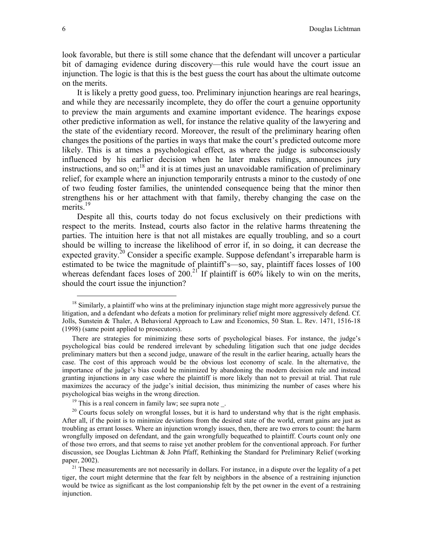look favorable, but there is still some chance that the defendant will uncover a particular bit of damaging evidence during discovery—this rule would have the court issue an injunction. The logic is that this is the best guess the court has about the ultimate outcome on the merits.

It is likely a pretty good guess, too. Preliminary injunction hearings are real hearings, and while they are necessarily incomplete, they do offer the court a genuine opportunity to preview the main arguments and examine important evidence. The hearings expose other predictive information as well, for instance the relative quality of the lawyering and the state of the evidentiary record. Moreover, the result of the preliminary hearing often changes the positions of the parties in ways that make the court's predicted outcome more likely. This is at times a psychological effect, as where the judge is subconsciously influenced by his earlier decision when he later makes rulings, announces jury instructions, and so on; $^{18}$  and it is at times just an unavoidable ramification of preliminary relief, for example where an injunction temporarily entrusts a minor to the custody of one of two feuding foster families, the unintended consequence being that the minor then strengthens his or her attachment with that family, thereby changing the case on the merits.<sup>19</sup>

Despite all this, courts today do not focus exclusively on their predictions with respect to the merits. Instead, courts also factor in the relative harms threatening the parties. The intuition here is that not all mistakes are equally troubling, and so a court should be willing to increase the likelihood of error if, in so doing, it can decrease the expected gravity.<sup>20</sup> Consider a specific example. Suppose defendant's irreparable harm is estimated to be twice the magnitude of plaintiff's—so, say, plaintiff faces losses of 100 whereas defendant faces loses of  $200<sup>21</sup>$  If plaintiff is  $60\%$  likely to win on the merits, should the court issue the injunction?

<span id="page-8-0"></span> $18$  Similarly, a plaintiff who wins at the preliminary injunction stage might more aggressively pursue the litigation, and a defendant who defeats a motion for preliminary relief might more aggressively defend. Cf. Jolls, Sunstein & Thaler, A Behavioral Approach to Law and Economics, 50 Stan. L. Rev. 1471, 1516-18 (1998) (same point applied to prosecutors).

There are strategies for minimizing these sorts of psychological biases. For instance, the judge's psychological bias could be rendered irrelevant by scheduling litigation such that one judge decides preliminary matters but then a second judge, unaware of the result in the earlier hearing, actually hears the case. The cost of this approach would be the obvious lost economy of scale. In the alternative, the importance of the judge's bias could be minimized by abandoning the modern decision rule and instead granting injunctions in any case where the plaintiff is more likely than not to prevail at trial. That rule maximizes the accuracy of the judge's initial decision, thus minimizing the number of cases where his psychological bias weighs in the wrong direction.<br><sup>19</sup> This is a real concern in family law; see supra note \_.<br><sup>20</sup> Courts focus solely on wrongful losses, but it is hard to understand why that is the right emphasis.

<span id="page-8-2"></span><span id="page-8-1"></span>

After all, if the point is to minimize deviations from the desired state of the world, errant gains are just as troubling as errant losses. Where an injunction wrongly issues, then, there are two errors to count: the harm wrongfully imposed on defendant, and the gain wrongfully bequeathed to plaintiff. Courts count only one of those two errors, and that seems to raise yet another problem for the conventional approach. For further discussion, see Douglas Lichtman & John Pfaff, Rethinking the Standard for Preliminary Relief (working paper, 2002). 21 These measurements are not necessarily in dollars. For instance, in a dispute over the legality of a pet

<span id="page-8-3"></span>tiger, the court might determine that the fear felt by neighbors in the absence of a restraining injunction would be twice as significant as the lost companionship felt by the pet owner in the event of a restraining injunction.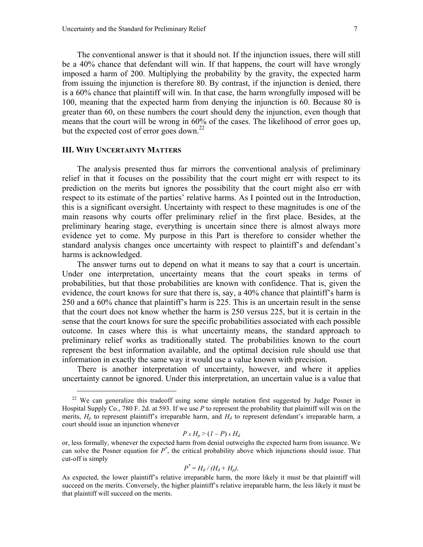The conventional answer is that it should not. If the injunction issues, there will still be a 40% chance that defendant will win. If that happens, the court will have wrongly imposed a harm of 200. Multiplying the probability by the gravity, the expected harm from issuing the injunction is therefore 80. By contrast, if the injunction is denied, there is a 60% chance that plaintiff will win. In that case, the harm wrongfully imposed will be 100, meaning that the expected harm from denying the injunction is 60. Because 80 is greater than 60, on these numbers the court should deny the injunction, even though that means that the court will be wrong in 60% of the cases. The likelihood of error goes up, but the expected cost of error goes down.<sup>22</sup>

#### **III. WHY UNCERTAINTY MATTERS**

<span id="page-9-0"></span> $\overline{a}$ 

The analysis presented thus far mirrors the conventional analysis of preliminary relief in that it focuses on the possibility that the court might err with respect to its prediction on the merits but ignores the possibility that the court might also err with respect to its estimate of the parties' relative harms. As I pointed out in the Introduction, this is a significant oversight. Uncertainty with respect to these magnitudes is one of the main reasons why courts offer preliminary relief in the first place. Besides, at the preliminary hearing stage, everything is uncertain since there is almost always more evidence yet to come. My purpose in this Part is therefore to consider whether the standard analysis changes once uncertainty with respect to plaintiff's and defendant's harms is acknowledged.

The answer turns out to depend on what it means to say that a court is uncertain. Under one interpretation, uncertainty means that the court speaks in terms of probabilities, but that those probabilities are known with confidence. That is, given the evidence, the court knows for sure that there is, say, a 40% chance that plaintiff's harm is 250 and a 60% chance that plaintiff's harm is 225. This is an uncertain result in the sense that the court does not know whether the harm is 250 versus 225, but it is certain in the sense that the court knows for sure the specific probabilities associated with each possible outcome. In cases where this is what uncertainty means, the standard approach to preliminary relief works as traditionally stated. The probabilities known to the court represent the best information available, and the optimal decision rule should use that information in exactly the same way it would use a value known with precision.

There is another interpretation of uncertainty, however, and where it applies uncertainty cannot be ignored. Under this interpretation, an uncertain value is a value that

$$
P x H_p > (1 - P) x H_d
$$

$$
P^* = H_d / (H_d + H_p).
$$

<sup>&</sup>lt;sup>22</sup> We can generalize this tradeoff using some simple notation first suggested by Judge Posner in Hospital Supply Co., 780 F. 2d. at 593. If we use *P* to represent the probability that plaintiff will win on the merits,  $H_p$  to represent plaintiff's irreparable harm, and  $H_d$  to represent defendant's irreparable harm, a court should issue an injunction whenever

or, less formally, whenever the expected harm from denial outweighs the expected harm from issuance. We can solve the Posner equation for *P\** , the critical probability above which injunctions should issue. That cut-off is simply

As expected, the lower plaintiff's relative irreparable harm, the more likely it must be that plaintiff will succeed on the merits. Conversely, the higher plaintiff's relative irreparable harm, the less likely it must be that plaintiff will succeed on the merits.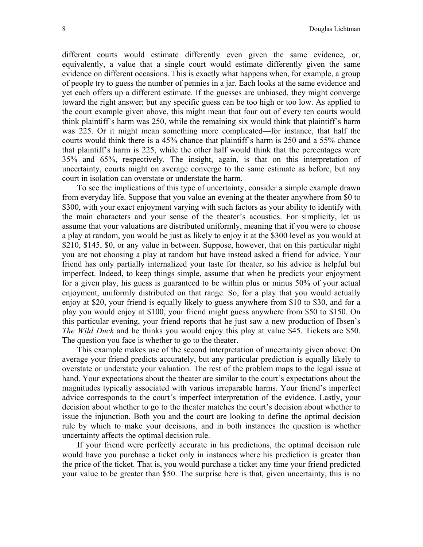different courts would estimate differently even given the same evidence, or, equivalently, a value that a single court would estimate differently given the same evidence on different occasions. This is exactly what happens when, for example, a group of people try to guess the number of pennies in a jar. Each looks at the same evidence and yet each offers up a different estimate. If the guesses are unbiased, they might converge toward the right answer; but any specific guess can be too high or too low. As applied to the court example given above, this might mean that four out of every ten courts would think plaintiff's harm was 250, while the remaining six would think that plaintiff's harm was 225. Or it might mean something more complicated—for instance, that half the courts would think there is a 45% chance that plaintiff's harm is 250 and a 55% chance that plaintiff's harm is 225, while the other half would think that the percentages were 35% and 65%, respectively. The insight, again, is that on this interpretation of uncertainty, courts might on average converge to the same estimate as before, but any court in isolation can overstate or understate the harm.

To see the implications of this type of uncertainty, consider a simple example drawn from everyday life. Suppose that you value an evening at the theater anywhere from \$0 to \$300, with your exact enjoyment varying with such factors as your ability to identify with the main characters and your sense of the theater's acoustics. For simplicity, let us assume that your valuations are distributed uniformly, meaning that if you were to choose a play at random, you would be just as likely to enjoy it at the \$300 level as you would at \$210, \$145, \$0, or any value in between. Suppose, however, that on this particular night you are not choosing a play at random but have instead asked a friend for advice. Your friend has only partially internalized your taste for theater, so his advice is helpful but imperfect. Indeed, to keep things simple, assume that when he predicts your enjoyment for a given play, his guess is guaranteed to be within plus or minus 50% of your actual enjoyment, uniformly distributed on that range. So, for a play that you would actually enjoy at \$20, your friend is equally likely to guess anywhere from \$10 to \$30, and for a play you would enjoy at \$100, your friend might guess anywhere from \$50 to \$150. On this particular evening, your friend reports that he just saw a new production of Ibsen's *The Wild Duck* and he thinks you would enjoy this play at value \$45. Tickets are \$50. The question you face is whether to go to the theater.

This example makes use of the second interpretation of uncertainty given above: On average your friend predicts accurately, but any particular prediction is equally likely to overstate or understate your valuation. The rest of the problem maps to the legal issue at hand. Your expectations about the theater are similar to the court's expectations about the magnitudes typically associated with various irreparable harms. Your friend's imperfect advice corresponds to the court's imperfect interpretation of the evidence. Lastly, your decision about whether to go to the theater matches the court's decision about whether to issue the injunction. Both you and the court are looking to define the optimal decision rule by which to make your decisions, and in both instances the question is whether uncertainty affects the optimal decision rule.

If your friend were perfectly accurate in his predictions, the optimal decision rule would have you purchase a ticket only in instances where his prediction is greater than the price of the ticket. That is, you would purchase a ticket any time your friend predicted your value to be greater than \$50. The surprise here is that, given uncertainty, this is no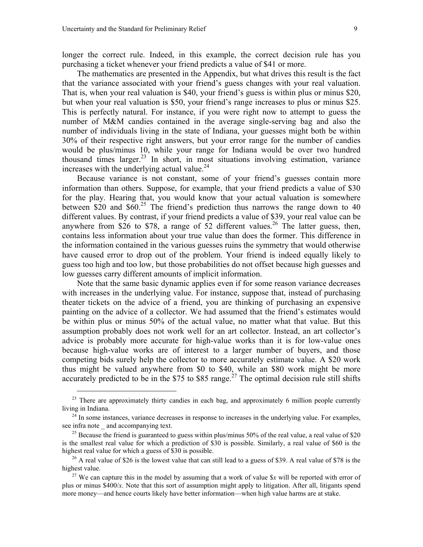<span id="page-11-0"></span> $\overline{a}$ 

longer the correct rule. Indeed, in this example, the correct decision rule has you purchasing a ticket whenever your friend predicts a value of \$41 or more.

The mathematics are presented in the Appendix, but what drives this result is the fact that the variance associated with your friend's guess changes with your real valuation. That is, when your real valuation is \$40, your friend's guess is within plus or minus \$20, but when your real valuation is \$50, your friend's range increases to plus or minus \$25. This is perfectly natural. For instance, if you were right now to attempt to guess the number of M&M candies contained in the average single-serving bag and also the number of individuals living in the state of Indiana, your guesses might both be within 30% of their respective right answers, but your error range for the number of candies would be plus/minus 10, while your range for Indiana would be over two hundred thousand times larger.<sup>23</sup> In short, in most situations involving estimation, variance increases with the underlying actual value. $^{24}$ 

Because variance is not constant, some of your friend's guesses contain more information than others. Suppose, for example, that your friend predicts a value of \$30 for the play. Hearing that, you would know that your actual valuation is somewhere between \$20 and \$60.<sup>25</sup> The friend's prediction thus narrows the range down to 40 different values. By contrast, if your friend predicts a value of \$39, your real value can be anywhere from \$[26](#page-11-3) to \$78, a range of  $\overline{52}$  different values.<sup>26</sup> The latter guess, then, contains less information about your true value than does the former. This difference in the information contained in the various guesses ruins the symmetry that would otherwise have caused error to drop out of the problem. Your friend is indeed equally likely to guess too high and too low, but those probabilities do not offset because high guesses and low guesses carry different amounts of implicit information.

Note that the same basic dynamic applies even if for some reason variance decreases with increases in the underlying value. For instance, suppose that, instead of purchasing theater tickets on the advice of a friend, you are thinking of purchasing an expensive painting on the advice of a collector. We had assumed that the friend's estimates would be within plus or minus 50% of the actual value, no matter what that value. But this assumption probably does not work well for an art collector. Instead, an art collector's advice is probably more accurate for high-value works than it is for low-value ones because high-value works are of interest to a larger number of buyers, and those competing bids surely help the collector to more accurately estimate value. A \$20 work thus might be valued anywhere from \$0 to \$40, while an \$80 work might be more accurately predicted to be in the \$75 to \$85 range.<sup>27</sup> The optimal decision rule still shifts

 $^{23}$  There are approximately thirty candies in each bag, and approximately 6 million people currently

<span id="page-11-1"></span>living in Indiana.<br><sup>24</sup> In some instances, variance decreases in response to increases in the underlying value. For examples, see infra note and accompanying text.

<span id="page-11-2"></span><sup>&</sup>lt;sup>25</sup> Because the friend is guaranteed to guess within plus/minus 50% of the real value, a real value of \$20 is the smallest real value for which a prediction of \$30 is possible. Similarly, a real value of \$60 is the

<span id="page-11-3"></span>highest real value for which a guess of \$30 is possible.<br><sup>26</sup> A real value of \$26 is the lowest value that can still lead to a guess of \$39. A real value of \$78 is the highest value.

<span id="page-11-4"></span><sup>&</sup>lt;sup>27</sup> We can capture this in the model by assuming that a work of value  $\frac{6}{10}x$  will be reported with error of plus or minus \$400/*x*. Note that this sort of assumption might apply to litigation. After all, litigants spend more money—and hence courts likely have better information—when high value harms are at stake.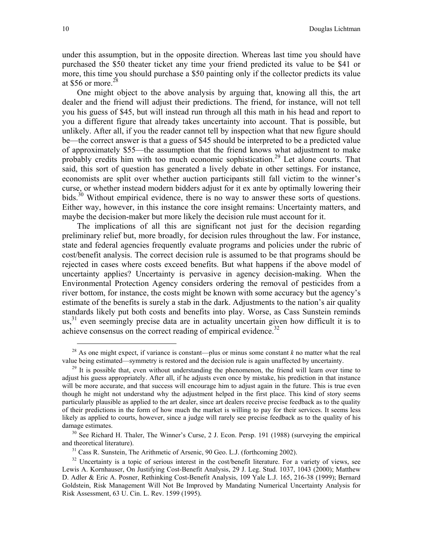under this assumption, but in the opposite direction. Whereas last time you should have purchased the \$50 theater ticket any time your friend predicted its value to be \$41 or more, this time you should purchase a \$50 painting only if the collector predicts its value at \$56 or more. $^{28}$  $^{28}$  $^{28}$ 

One might object to the above analysis by arguing that, knowing all this, the art dealer and the friend will adjust their predictions. The friend, for instance, will not tell you his guess of \$45, but will instead run through all this math in his head and report to you a different figure that already takes uncertainty into account. That is possible, but unlikely. After all, if you the reader cannot tell by inspection what that new figure should be—the correct answer is that a guess of \$45 should be interpreted to be a predicted value of approximately \$55—the assumption that the friend knows what adjustment to make probably credits him with too much economic sophistication.<sup>29</sup> Let alone courts. That said, this sort of question has generated a lively debate in other settings. For instance, economists are split over whether auction participants still fall victim to the winner's curse, or whether instead modern bidders adjust for it ex ante by optimally lowering their bids.<sup>30</sup> Without empirical evidence, there is no way to answer these sorts of questions. Either way, however, in this instance the core insight remains: Uncertainty matters, and maybe the decision-maker but more likely the decision rule must account for it.

The implications of all this are significant not just for the decision regarding preliminary relief but, more broadly, for decision rules throughout the law. For instance, state and federal agencies frequently evaluate programs and policies under the rubric of cost/benefit analysis. The correct decision rule is assumed to be that programs should be rejected in cases where costs exceed benefits. But what happens if the above model of uncertainty applies? Uncertainty is pervasive in agency decision-making. When the Environmental Protection Agency considers ordering the removal of pesticides from a river bottom, for instance, the costs might be known with some accuracy but the agency's estimate of the benefits is surely a stab in the dark. Adjustments to the nation's air quality standards likely put both costs and benefits into play. Worse, as Cass Sunstein reminds  $\mu$ s,<sup>31</sup> even seemingly precise data are in actuality uncertain given how difficult it is to achieve consensus on the correct reading of empirical evidence.<sup>[32](#page-12-4)</sup>

<span id="page-12-0"></span><sup>&</sup>lt;sup>28</sup> As one might expect, if variance is constant—plus or minus some constant  $k$  no matter what the real value being estimated—symmetry is restored and the decision rule is again unaffected by uncertainty.

<span id="page-12-1"></span><sup>&</sup>lt;sup>29</sup> It is possible that, even without understanding the phenomenon, the friend will learn over time to adjust his guess appropriately. After all, if he adjusts even once by mistake, his prediction in that instance will be more accurate, and that success will encourage him to adjust again in the future. This is true even though he might not understand why the adjustment helped in the first place. This kind of story seems particularly plausible as applied to the art dealer, since art dealers receive precise feedback as to the quality of their predictions in the form of how much the market is willing to pay for their services. It seems less likely as applied to courts, however, since a judge will rarely see precise feedback as to the quality of his damage estimates.<br><sup>30</sup> See Richard H. Thaler, The Winner's Curse, 2 J. Econ. Persp. 191 (1988) (surveying the empirical

<span id="page-12-2"></span>and theoretical literature).<br><sup>31</sup> Cass R. Sunstein, The Arithmetic of Arsenic, 90 Geo. L.J. (forthcoming 2002).<br><sup>32</sup> Uncertainty is a topic of serious interest in the cost/benefit literature. For a variety of views, see

<span id="page-12-4"></span><span id="page-12-3"></span>

Lewis A. Kornhauser, On Justifying Cost-Benefit Analysis, 29 J. Leg. Stud. 1037, 1043 (2000); Matthew D. Adler & Eric A. Posner, Rethinking Cost-Benefit Analysis, 109 Yale L.J. 165, 216-38 (1999); Bernard Goldstein, Risk Management Will Not Be Improved by Mandating Numerical Uncertainty Analysis for Risk Assessment, 63 U. Cin. L. Rev. 1599 (1995).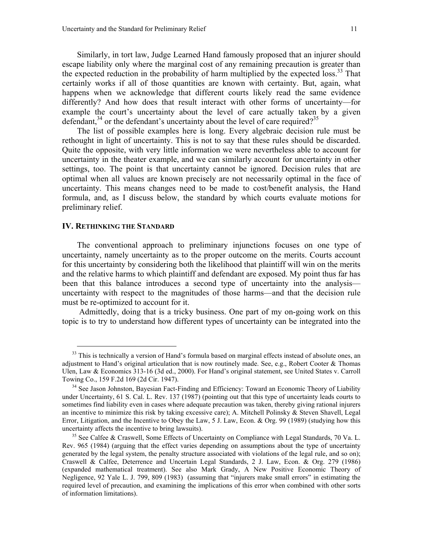Similarly, in tort law, Judge Learned Hand famously proposed that an injurer should escape liability only where the marginal cost of any remaining precaution is greater than the expected reduction in the probability of harm multiplied by the expected loss.<sup>33</sup> That certainly works if all of those quantities are known with certainty. But, again, what happens when we acknowledge that different courts likely read the same evidence differently? And how does that result interact with other forms of uncertainty—for example the court's uncertainty about the level of care actually taken by a given defendant,  $34$  or the defendant's uncertainty about the level of care required?<sup>[35](#page-13-2)</sup>

The list of possible examples here is long. Every algebraic decision rule must be rethought in light of uncertainty. This is not to say that these rules should be discarded. Quite the opposite, with very little information we were nevertheless able to account for uncertainty in the theater example, and we can similarly account for uncertainty in other settings, too. The point is that uncertainty cannot be ignored. Decision rules that are optimal when all values are known precisely are not necessarily optimal in the face of uncertainty. This means changes need to be made to cost/benefit analysis, the Hand formula, and, as I discuss below, the standard by which courts evaluate motions for preliminary relief.

#### **IV. RETHINKING THE STANDARD**

<span id="page-13-0"></span> $\overline{a}$ 

The conventional approach to preliminary injunctions focuses on one type of uncertainty, namely uncertainty as to the proper outcome on the merits. Courts account for this uncertainty by considering both the likelihood that plaintiff will win on the merits and the relative harms to which plaintiff and defendant are exposed. My point thus far has been that this balance introduces a second type of uncertainty into the analysis uncertainty with respect to the magnitudes of those harms—and that the decision rule must be re-optimized to account for it.

 Admittedly, doing that is a tricky business. One part of my on-going work on this topic is to try to understand how different types of uncertainty can be integrated into the

 $33$  This is technically a version of Hand's formula based on marginal effects instead of absolute ones, an adjustment to Hand's original articulation that is now routinely made. See, e.g., Robert Cooter & Thomas Ulen, Law & Economics 313-16 (3d ed., 2000). For Hand's original statement, see United States v. Carroll Towing Co., 159 F.2d 169 (2d Cir. 1947).

<span id="page-13-1"></span> $34$  See Jason Johnston, Bayesian Fact-Finding and Efficiency: Toward an Economic Theory of Liability under Uncertainty, 61 S. Cal. L. Rev. 137 (1987) (pointing out that this type of uncertainty leads courts to sometimes find liability even in cases where adequate precaution was taken, thereby giving rational injurers an incentive to minimize this risk by taking excessive care); A. Mitchell Polinsky & Steven Shavell, Legal Error, Litigation, and the Incentive to Obey the Law, 5 J. Law, Econ. & Org. 99 (1989) (studying how this uncertainty affects the incentive to bring lawsuits). 35 See Calfee & Craswell, Some Effects of Uncertainty on Compliance with Legal Standards, 70 Va. L.

<span id="page-13-2"></span>Rev. 965 (1984) (arguing that the effect varies depending on assumptions about the type of uncertainty generated by the legal system, the penalty structure associated with violations of the legal rule, and so on); Craswell & Calfee, Deterrence and Uncertain Legal Standards, 2 J. Law, Econ. & Org. 279 (1986) (expanded mathematical treatment). See also Mark Grady, A New Positive Economic Theory of Negligence, 92 Yale L. J. 799, 809 (1983) (assuming that "injurers make small errors" in estimating the required level of precaution, and examining the implications of this error when combined with other sorts of information limitations).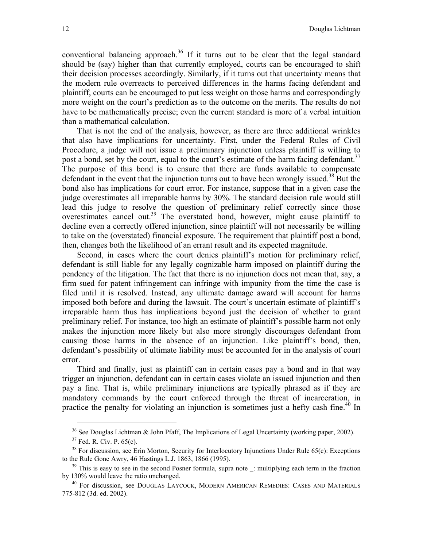conventional balancing approach.<sup>36</sup> If it turns out to be clear that the legal standard should be (say) higher than that currently employed, courts can be encouraged to shift their decision processes accordingly. Similarly, if it turns out that uncertainty means that the modern rule overreacts to perceived differences in the harms facing defendant and plaintiff, courts can be encouraged to put less weight on those harms and correspondingly more weight on the court's prediction as to the outcome on the merits. The results do not have to be mathematically precise; even the current standard is more of a verbal intuition than a mathematical calculation.

That is not the end of the analysis, however, as there are three additional wrinkles that also have implications for uncertainty. First, under the Federal Rules of Civil Procedure, a judge will not issue a preliminary injunction unless plaintiff is willing to post a bond, set by the court, equal to the court's estimate of the harm facing defendant.<sup>37</sup> The purpose of this bond is to ensure that there are funds available to compensate defendant in the event that the injunction turns out to have been wrongly issued.<sup>38</sup> But the bond also has implications for court error. For instance, suppose that in a given case the judge overestimates all irreparable harms by 30%. The standard decision rule would still lead this judge to resolve the question of preliminary relief correctly since those overestimates cancel out[.39](#page-14-3) The overstated bond, however, might cause plaintiff to decline even a correctly offered injunction, since plaintiff will not necessarily be willing to take on the (overstated) financial exposure. The requirement that plaintiff post a bond, then, changes both the likelihood of an errant result and its expected magnitude.

Second, in cases where the court denies plaintiff's motion for preliminary relief, defendant is still liable for any legally cognizable harm imposed on plaintiff during the pendency of the litigation. The fact that there is no injunction does not mean that, say, a firm sued for patent infringement can infringe with impunity from the time the case is filed until it is resolved. Instead, any ultimate damage award will account for harms imposed both before and during the lawsuit. The court's uncertain estimate of plaintiff's irreparable harm thus has implications beyond just the decision of whether to grant preliminary relief. For instance, too high an estimate of plaintiff's possible harm not only makes the injunction more likely but also more strongly discourages defendant from causing those harms in the absence of an injunction. Like plaintiff's bond, then, defendant's possibility of ultimate liability must be accounted for in the analysis of court error.

Third and finally, just as plaintiff can in certain cases pay a bond and in that way trigger an injunction, defendant can in certain cases violate an issued injunction and then pay a fine. That is, while preliminary injunctions are typically phrased as if they are mandatory commands by the court enforced through the threat of incarceration, in practice the penalty for violating an injunction is sometimes just a hefty cash fine.<sup>40</sup> In

<span id="page-14-0"></span><sup>&</sup>lt;sup>36</sup> See Douglas Lichtman & John Pfaff, The Implications of Legal Uncertainty (working paper, 2002).<br><sup>37</sup> Fed. R. Civ. P. 65(c).<br><sup>38</sup> For discussion, see Erin Morton, Security for Interlocutory Injunctions Under Rule 65(c

<span id="page-14-2"></span><span id="page-14-1"></span>

<span id="page-14-3"></span>to the Rule Gone Awry, 46 Hastings L.J. 1863, 1866 (1995).<br><sup>39</sup> This is easy to see in the second Posner formula, supra note \_: multiplying each term in the fraction<br>by 130% would leave the ratio unchanged.

<span id="page-14-4"></span><sup>&</sup>lt;sup>40</sup> For discussion, see DOUGLAS LAYCOCK, MODERN AMERICAN REMEDIES: CASES AND MATERIALS 775-812 (3d. ed. 2002).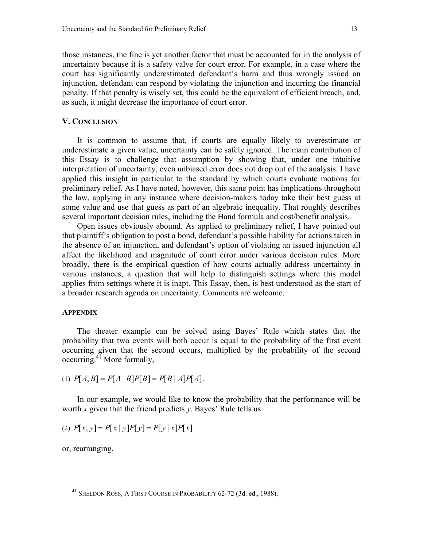those instances, the fine is yet another factor that must be accounted for in the analysis of uncertainty because it is a safety valve for court error. For example, in a case where the court has significantly underestimated defendant's harm and thus wrongly issued an injunction, defendant can respond by violating the injunction and incurring the financial penalty. If that penalty is wisely set, this could be the equivalent of efficient breach, and, as such, it might decrease the importance of court error.

#### **V. CONCLUSION**

It is common to assume that, if courts are equally likely to overestimate or underestimate a given value, uncertainty can be safely ignored. The main contribution of this Essay is to challenge that assumption by showing that, under one intuitive interpretation of uncertainty, even unbiased error does not drop out of the analysis. I have applied this insight in particular to the standard by which courts evaluate motions for preliminary relief. As I have noted, however, this same point has implications throughout the law, applying in any instance where decision-makers today take their best guess at some value and use that guess as part of an algebraic inequality. That roughly describes several important decision rules, including the Hand formula and cost/benefit analysis.

Open issues obviously abound. As applied to preliminary relief, I have pointed out that plaintiff's obligation to post a bond, defendant's possible liability for actions taken in the absence of an injunction, and defendant's option of violating an issued injunction all affect the likelihood and magnitude of court error under various decision rules. More broadly, there is the empirical question of how courts actually address uncertainty in various instances, a question that will help to distinguish settings where this model applies from settings where it is inapt. This Essay, then, is best understood as the start of a broader research agenda on uncertainty. Comments are welcome.

#### **APPENDIX**

The theater example can be solved using Bayes' Rule which states that the probability that two events will both occur is equal to the probability of the first event occurring given that the second occurs, multiplied by the probability of the second occurring[.41](#page-15-0) More formally,

(1) 
$$
P[A, B] = P[A | B]P[B] = P[B | A]P[A].
$$

In our example, we would like to know the probability that the performance will be worth *x* given that the friend predicts *y*. Bayes' Rule tells us

(2)  $P[x, y] = P[x | y]P[y] = P[y | x]P[x]$ 

or, rearranging,

<span id="page-15-0"></span><sup>41</sup> SHELDON ROSS, A FIRST COURSE IN PROBABILITY 62-72 (3d. ed., 1988).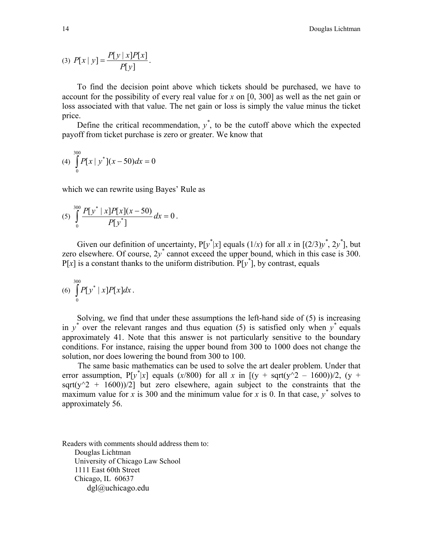(3) 
$$
P[x | y] = \frac{P[y | x]P[x]}{P[y]}
$$
.

To find the decision point above which tickets should be purchased, we have to account for the possibility of every real value for *x* on [0, 300] as well as the net gain or loss associated with that value. The net gain or loss is simply the value minus the ticket price.

Define the critical recommendation,  $y^*$ , to be the cutoff above which the expected payoff from ticket purchase is zero or greater. We know that

(4) 
$$
\int_{0}^{300} P[x \mid y^*](x-50) dx = 0
$$

which we can rewrite using Bayes' Rule as

(5) 
$$
\int_{0}^{300} \frac{P[y^* \mid x] P[x](x-50)}{P[y^*]} dx = 0.
$$

Given our definition of uncertainty,  $P[y^*|x]$  equals  $(1/x)$  for all *x* in  $[(2/3)y^*, 2y^*]$ , but zero elsewhere. Of course,  $2y^*$  cannot exceed the upper bound, which in this case is 300.  $P[x]$  is a constant thanks to the uniform distribution.  $P[y^*]$ , by contrast, equals

(6) 
$$
\int_{0}^{300} P[y^* \mid x] P[x] dx.
$$

Solving, we find that under these assumptions the left-hand side of (5) is increasing in  $y^*$  over the relevant ranges and thus equation (5) is satisfied only when  $y^*$  equals approximately 41. Note that this answer is not particularly sensitive to the boundary conditions. For instance, raising the upper bound from 300 to 1000 does not change the solution, nor does lowering the bound from 300 to 100.

The same basic mathematics can be used to solve the art dealer problem. Under that error assumption,  $P[y^*|x]$  equals (*x*/800) for all *x* in [(y + sqrt(y^2 – 1600))/2, (y + sqrt(y^2 + 1600))/2] but zero elsewhere, again subject to the constraints that the maximum value for *x* is 300 and the minimum value for *x* is 0. In that case,  $y^*$  solves to approximately 56.

Readers with comments should address them to: Douglas Lichtman University of Chicago Law School 1111 East 60th Street Chicago, IL 60637 dgl@uchicago.edu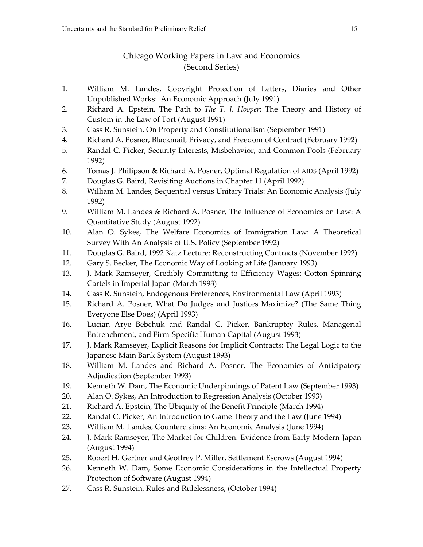## Chicago Working Papers in Law and Economics (Second Series)

- 1. William M. Landes, Copyright Protection of Letters, Diaries and Other Unpublished Works: An Economic Approach (July 1991)
- 2. Richard A. Epstein, The Path to *The T. J. Hooper*: The Theory and History of Custom in the Law of Tort (August 1991)
- 3. Cass R. Sunstein, On Property and Constitutionalism (September 1991)
- 4. Richard A. Posner, Blackmail, Privacy, and Freedom of Contract (February 1992)
- 5. Randal C. Picker, Security Interests, Misbehavior, and Common Pools (February 1992)
- 6. Tomas J. Philipson & Richard A. Posner, Optimal Regulation of AIDS (April 1992)
- 7. Douglas G. Baird, Revisiting Auctions in Chapter 11 (April 1992)
- 8. William M. Landes, Sequential versus Unitary Trials: An Economic Analysis (July 1992)
- 9. William M. Landes & Richard A. Posner, The Influence of Economics on Law: A Quantitative Study (August 1992)
- 10. Alan O. Sykes, The Welfare Economics of Immigration Law: A Theoretical Survey With An Analysis of U.S. Policy (September 1992)
- 11. Douglas G. Baird, 1992 Katz Lecture: Reconstructing Contracts (November 1992)
- 12. Gary S. Becker, The Economic Way of Looking at Life (January 1993)
- 13. J. Mark Ramseyer, Credibly Committing to Efficiency Wages: Cotton Spinning Cartels in Imperial Japan (March 1993)
- 14. Cass R. Sunstein, Endogenous Preferences, Environmental Law (April 1993)
- 15. Richard A. Posner, What Do Judges and Justices Maximize? (The Same Thing Everyone Else Does) (April 1993)
- 16. Lucian Arye Bebchuk and Randal C. Picker, Bankruptcy Rules, Managerial Entrenchment, and Firm-Specific Human Capital (August 1993)
- 17. J. Mark Ramseyer, Explicit Reasons for Implicit Contracts: The Legal Logic to the Japanese Main Bank System (August 1993)
- 18. William M. Landes and Richard A. Posner, The Economics of Anticipatory Adjudication (September 1993)
- 19. Kenneth W. Dam, The Economic Underpinnings of Patent Law (September 1993)
- 20. Alan O. Sykes, An Introduction to Regression Analysis (October 1993)
- 21. Richard A. Epstein, The Ubiquity of the Benefit Principle (March 1994)
- 22. Randal C. Picker, An Introduction to Game Theory and the Law (June 1994)
- 23. William M. Landes, Counterclaims: An Economic Analysis (June 1994)
- 24. J. Mark Ramseyer, The Market for Children: Evidence from Early Modern Japan (August 1994)
- 25. Robert H. Gertner and Geoffrey P. Miller, Settlement Escrows (August 1994)
- 26. Kenneth W. Dam, Some Economic Considerations in the Intellectual Property Protection of Software (August 1994)
- 27. Cass R. Sunstein, Rules and Rulelessness, (October 1994)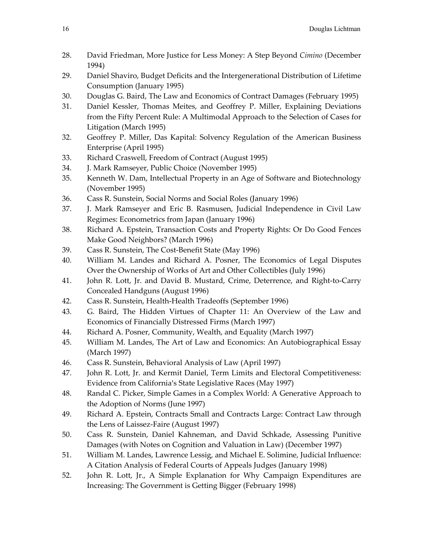- 28. David Friedman, More Justice for Less Money: A Step Beyond *Cimino* (December 1994)
- 29. Daniel Shaviro, Budget Deficits and the Intergenerational Distribution of Lifetime Consumption (January 1995)
- 30. Douglas G. Baird, The Law and Economics of Contract Damages (February 1995)
- 31. Daniel Kessler, Thomas Meites, and Geoffrey P. Miller, Explaining Deviations from the Fifty Percent Rule: A Multimodal Approach to the Selection of Cases for Litigation (March 1995)
- 32. Geoffrey P. Miller, Das Kapital: Solvency Regulation of the American Business Enterprise (April 1995)
- 33. Richard Craswell, Freedom of Contract (August 1995)
- 34. J. Mark Ramseyer, Public Choice (November 1995)
- 35. Kenneth W. Dam, Intellectual Property in an Age of Software and Biotechnology (November 1995)
- 36. Cass R. Sunstein, Social Norms and Social Roles (January 1996)
- 37. J. Mark Ramseyer and Eric B. Rasmusen, Judicial Independence in Civil Law Regimes: Econometrics from Japan (January 1996)
- 38. Richard A. Epstein, Transaction Costs and Property Rights: Or Do Good Fences Make Good Neighbors? (March 1996)
- 39. Cass R. Sunstein, The Cost-Benefit State (May 1996)
- 40. William M. Landes and Richard A. Posner, The Economics of Legal Disputes Over the Ownership of Works of Art and Other Collectibles (July 1996)
- 41. John R. Lott, Jr. and David B. Mustard, Crime, Deterrence, and Right-to-Carry Concealed Handguns (August 1996)
- 42. Cass R. Sunstein, Health-Health Tradeoffs (September 1996)
- 43. G. Baird, The Hidden Virtues of Chapter 11: An Overview of the Law and Economics of Financially Distressed Firms (March 1997)
- 44. Richard A. Posner, Community, Wealth, and Equality (March 1997)
- 45. William M. Landes, The Art of Law and Economics: An Autobiographical Essay (March 1997)
- 46. Cass R. Sunstein, Behavioral Analysis of Law (April 1997)
- 47. John R. Lott, Jr. and Kermit Daniel, Term Limits and Electoral Competitiveness: Evidence from California's State Legislative Races (May 1997)
- 48. Randal C. Picker, Simple Games in a Complex World: A Generative Approach to the Adoption of Norms (June 1997)
- 49. Richard A. Epstein, Contracts Small and Contracts Large: Contract Law through the Lens of Laissez-Faire (August 1997)
- 50. Cass R. Sunstein, Daniel Kahneman, and David Schkade, Assessing Punitive Damages (with Notes on Cognition and Valuation in Law) (December 1997)
- 51. William M. Landes, Lawrence Lessig, and Michael E. Solimine, Judicial Influence: A Citation Analysis of Federal Courts of Appeals Judges (January 1998)
- 52. John R. Lott, Jr., A Simple Explanation for Why Campaign Expenditures are Increasing: The Government is Getting Bigger (February 1998)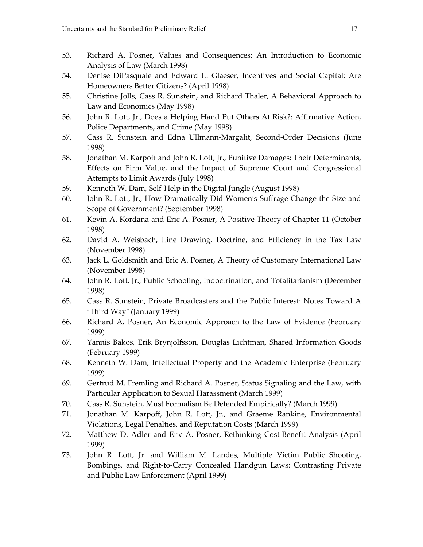- 53. Richard A. Posner, Values and Consequences: An Introduction to Economic Analysis of Law (March 1998)
- 54. Denise DiPasquale and Edward L. Glaeser, Incentives and Social Capital: Are Homeowners Better Citizens? (April 1998)
- 55. Christine Jolls, Cass R. Sunstein, and Richard Thaler, A Behavioral Approach to Law and Economics (May 1998)
- 56. John R. Lott, Jr., Does a Helping Hand Put Others At Risk?: Affirmative Action, Police Departments, and Crime (May 1998)
- 57. Cass R. Sunstein and Edna Ullmann-Margalit, Second-Order Decisions (June 1998)
- 58. Jonathan M. Karpoff and John R. Lott, Jr., Punitive Damages: Their Determinants, Effects on Firm Value, and the Impact of Supreme Court and Congressional Attempts to Limit Awards (July 1998)
- 59. Kenneth W. Dam, Self-Help in the Digital Jungle (August 1998)
- 60. John R. Lott, Jr., How Dramatically Did Women's Suffrage Change the Size and Scope of Government? (September 1998)
- 61. Kevin A. Kordana and Eric A. Posner, A Positive Theory of Chapter 11 (October 1998)
- 62. David A. Weisbach, Line Drawing, Doctrine, and Efficiency in the Tax Law (November 1998)
- 63. Jack L. Goldsmith and Eric A. Posner, A Theory of Customary International Law (November 1998)
- 64. John R. Lott, Jr., Public Schooling, Indoctrination, and Totalitarianism (December 1998)
- 65. Cass R. Sunstein, Private Broadcasters and the Public Interest: Notes Toward A "Third Way" (January 1999)
- 66. Richard A. Posner, An Economic Approach to the Law of Evidence (February 1999)
- 67. Yannis Bakos, Erik Brynjolfsson, Douglas Lichtman, Shared Information Goods (February 1999)
- 68. Kenneth W. Dam, Intellectual Property and the Academic Enterprise (February 1999)
- 69. Gertrud M. Fremling and Richard A. Posner, Status Signaling and the Law, with Particular Application to Sexual Harassment (March 1999)
- 70. Cass R. Sunstein, Must Formalism Be Defended Empirically? (March 1999)
- 71. Jonathan M. Karpoff, John R. Lott, Jr., and Graeme Rankine, Environmental Violations, Legal Penalties, and Reputation Costs (March 1999)
- 72. Matthew D. Adler and Eric A. Posner, Rethinking Cost-Benefit Analysis (April 1999)
- 73. John R. Lott, Jr. and William M. Landes, Multiple Victim Public Shooting, Bombings, and Right-to-Carry Concealed Handgun Laws: Contrasting Private and Public Law Enforcement (April 1999)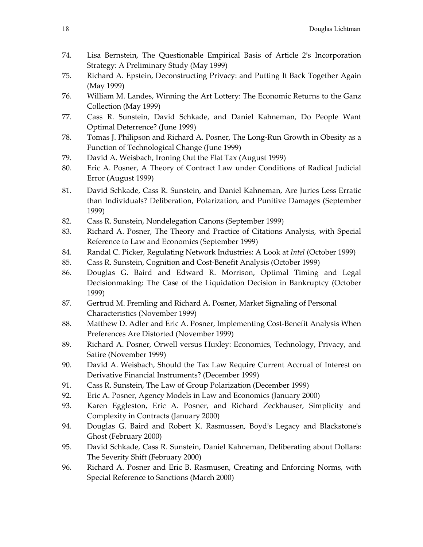- 74. Lisa Bernstein, The Questionable Empirical Basis of Article 2's Incorporation Strategy: A Preliminary Study (May 1999)
- 75. Richard A. Epstein, Deconstructing Privacy: and Putting It Back Together Again (May 1999)
- 76. William M. Landes, Winning the Art Lottery: The Economic Returns to the Ganz Collection (May 1999)
- 77. Cass R. Sunstein, David Schkade, and Daniel Kahneman, Do People Want Optimal Deterrence? (June 1999)
- 78. Tomas J. Philipson and Richard A. Posner, The Long-Run Growth in Obesity as a Function of Technological Change (June 1999)
- 79. David A. Weisbach, Ironing Out the Flat Tax (August 1999)
- 80. Eric A. Posner, A Theory of Contract Law under Conditions of Radical Judicial Error (August 1999)
- 81. David Schkade, Cass R. Sunstein, and Daniel Kahneman, Are Juries Less Erratic than Individuals? Deliberation, Polarization, and Punitive Damages (September 1999)
- 82. Cass R. Sunstein, Nondelegation Canons (September 1999)
- 83. Richard A. Posner, The Theory and Practice of Citations Analysis, with Special Reference to Law and Economics (September 1999)
- 84. Randal C. Picker, Regulating Network Industries: A Look at *Intel* (October 1999)
- 85. Cass R. Sunstein, Cognition and Cost-Benefit Analysis (October 1999)
- 86. Douglas G. Baird and Edward R. Morrison, Optimal Timing and Legal Decisionmaking: The Case of the Liquidation Decision in Bankruptcy (October 1999)
- 87. Gertrud M. Fremling and Richard A. Posner, Market Signaling of Personal Characteristics (November 1999)
- 88. Matthew D. Adler and Eric A. Posner, Implementing Cost-Benefit Analysis When Preferences Are Distorted (November 1999)
- 89. Richard A. Posner, Orwell versus Huxley: Economics, Technology, Privacy, and Satire (November 1999)
- 90. David A. Weisbach, Should the Tax Law Require Current Accrual of Interest on Derivative Financial Instruments? (December 1999)
- 91. Cass R. Sunstein, The Law of Group Polarization (December 1999)
- 92. Eric A. Posner, Agency Models in Law and Economics (January 2000)
- 93. Karen Eggleston, Eric A. Posner, and Richard Zeckhauser, Simplicity and Complexity in Contracts (January 2000)
- 94. Douglas G. Baird and Robert K. Rasmussen, Boyd's Legacy and Blackstone's Ghost (February 2000)
- 95. David Schkade, Cass R. Sunstein, Daniel Kahneman, Deliberating about Dollars: The Severity Shift (February 2000)
- 96. Richard A. Posner and Eric B. Rasmusen, Creating and Enforcing Norms, with Special Reference to Sanctions (March 2000)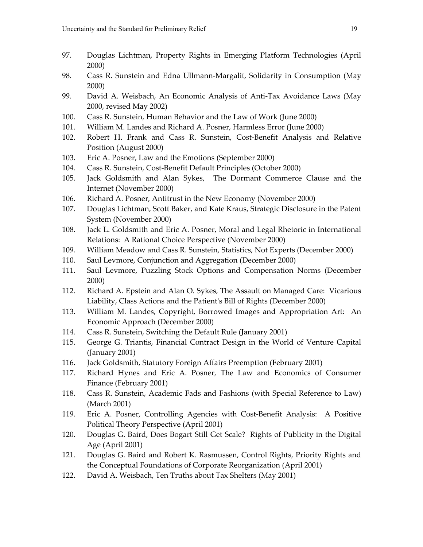- 97. Douglas Lichtman, Property Rights in Emerging Platform Technologies (April 2000)
- 98. Cass R. Sunstein and Edna Ullmann-Margalit, Solidarity in Consumption (May 2000)
- 99. David A. Weisbach, An Economic Analysis of Anti-Tax Avoidance Laws (May 2000, revised May 2002)
- 100. Cass R. Sunstein, Human Behavior and the Law of Work (June 2000)
- 101. William M. Landes and Richard A. Posner, Harmless Error (June 2000)
- 102. Robert H. Frank and Cass R. Sunstein, Cost-Benefit Analysis and Relative Position (August 2000)
- 103. Eric A. Posner, Law and the Emotions (September 2000)
- 104. Cass R. Sunstein, Cost-Benefit Default Principles (October 2000)
- 105. Jack Goldsmith and Alan Sykes, The Dormant Commerce Clause and the Internet (November 2000)
- 106. Richard A. Posner, Antitrust in the New Economy (November 2000)
- 107. Douglas Lichtman, Scott Baker, and Kate Kraus, Strategic Disclosure in the Patent System (November 2000)
- 108. Jack L. Goldsmith and Eric A. Posner, Moral and Legal Rhetoric in International Relations: A Rational Choice Perspective (November 2000)
- 109. William Meadow and Cass R. Sunstein, Statistics, Not Experts (December 2000)
- 110. Saul Levmore, Conjunction and Aggregation (December 2000)
- 111. Saul Levmore, Puzzling Stock Options and Compensation Norms (December 2000)
- 112. Richard A. Epstein and Alan O. Sykes, The Assault on Managed Care: Vicarious Liability, Class Actions and the Patient's Bill of Rights (December 2000)
- 113. William M. Landes, Copyright, Borrowed Images and Appropriation Art: An Economic Approach (December 2000)
- 114. Cass R. Sunstein, Switching the Default Rule (January 2001)
- 115. George G. Triantis, Financial Contract Design in the World of Venture Capital (January 2001)
- 116. Jack Goldsmith, Statutory Foreign Affairs Preemption (February 2001)
- 117. Richard Hynes and Eric A. Posner, The Law and Economics of Consumer Finance (February 2001)
- 118. Cass R. Sunstein, Academic Fads and Fashions (with Special Reference to Law) (March 2001)
- 119. Eric A. Posner, Controlling Agencies with Cost-Benefit Analysis: A Positive Political Theory Perspective (April 2001)
- 120. Douglas G. Baird, Does Bogart Still Get Scale? Rights of Publicity in the Digital Age (April 2001)
- 121. Douglas G. Baird and Robert K. Rasmussen, Control Rights, Priority Rights and the Conceptual Foundations of Corporate Reorganization (April 2001)
- 122. David A. Weisbach, Ten Truths about Tax Shelters (May 2001)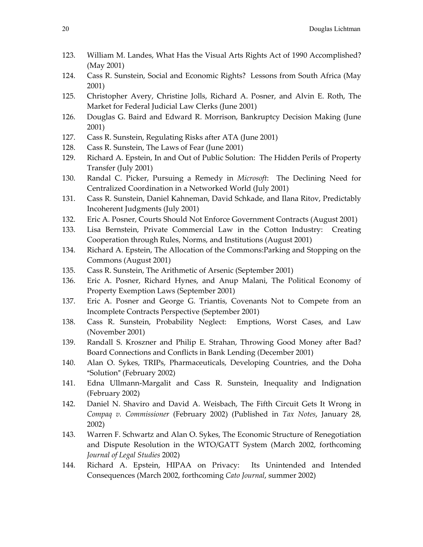- 123. William M. Landes, What Has the Visual Arts Rights Act of 1990 Accomplished? (May 2001)
- 124. Cass R. Sunstein, Social and Economic Rights? Lessons from South Africa (May 2001)
- 125. Christopher Avery, Christine Jolls, Richard A. Posner, and Alvin E. Roth, The Market for Federal Judicial Law Clerks (June 2001)
- 126. Douglas G. Baird and Edward R. Morrison, Bankruptcy Decision Making (June 2001)
- 127. Cass R. Sunstein, Regulating Risks after ATA (June 2001)
- 128. Cass R. Sunstein, The Laws of Fear (June 2001)
- 129. Richard A. Epstein, In and Out of Public Solution: The Hidden Perils of Property Transfer (July 2001)
- 130. Randal C. Picker, Pursuing a Remedy in *Microsoft*: The Declining Need for Centralized Coordination in a Networked World (July 2001)
- 131. Cass R. Sunstein, Daniel Kahneman, David Schkade, and Ilana Ritov, Predictably Incoherent Judgments (July 2001)
- 132. Eric A. Posner, Courts Should Not Enforce Government Contracts (August 2001)
- 133. Lisa Bernstein, Private Commercial Law in the Cotton Industry: Creating Cooperation through Rules, Norms, and Institutions (August 2001)
- 134. Richard A. Epstein, The Allocation of the Commons:Parking and Stopping on the Commons (August 2001)
- 135. Cass R. Sunstein, The Arithmetic of Arsenic (September 2001)
- 136. Eric A. Posner, Richard Hynes, and Anup Malani, The Political Economy of Property Exemption Laws (September 2001)
- 137. Eric A. Posner and George G. Triantis, Covenants Not to Compete from an Incomplete Contracts Perspective (September 2001)
- 138. Cass R. Sunstein, Probability Neglect: Emptions, Worst Cases, and Law (November 2001)
- 139. Randall S. Kroszner and Philip E. Strahan, Throwing Good Money after Bad? Board Connections and Conflicts in Bank Lending (December 2001)
- 140. Alan O. Sykes, TRIPs, Pharmaceuticals, Developing Countries, and the Doha "Solution" (February 2002)
- 141. Edna Ullmann-Margalit and Cass R. Sunstein, Inequality and Indignation (February 2002)
- 142. Daniel N. Shaviro and David A. Weisbach, The Fifth Circuit Gets It Wrong in *Compaq v. Commissioner* (February 2002) (Published in *Tax Notes*, January 28, 2002)
- 143. Warren F. Schwartz and Alan O. Sykes, The Economic Structure of Renegotiation and Dispute Resolution in the WTO/GATT System (March 2002, forthcoming *Journal of Legal Studies* 2002)
- 144. Richard A. Epstein, HIPAA on Privacy: Its Unintended and Intended Consequences (March 2002, forthcoming *Cato Journal*, summer 2002)